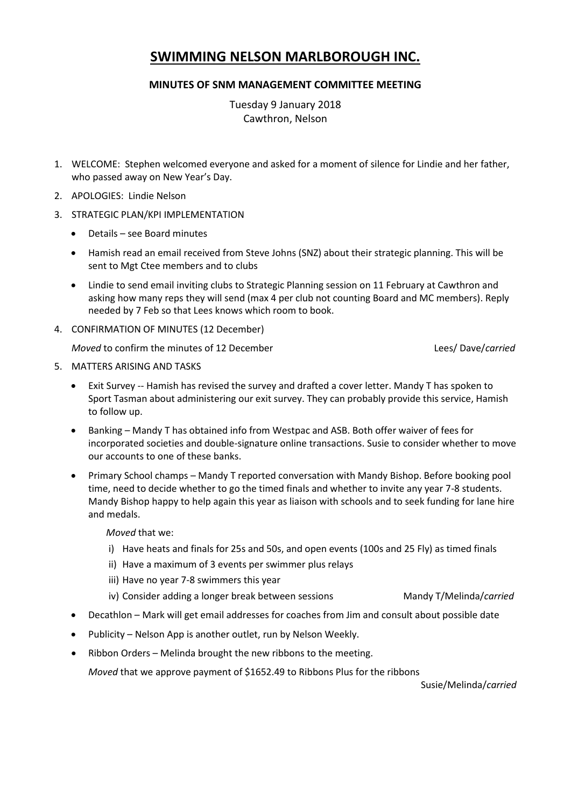# **SWIMMING NELSON MARLBOROUGH INC.**

## **MINUTES OF SNM MANAGEMENT COMMITTEE MEETING**

Tuesday 9 January 2018 Cawthron, Nelson

- 1. WELCOME: Stephen welcomed everyone and asked for a moment of silence for Lindie and her father, who passed away on New Year's Day.
- 2. APOLOGIES: Lindie Nelson
- 3. STRATEGIC PLAN/KPI IMPLEMENTATION
	- Details see Board minutes
	- Hamish read an email received from Steve Johns (SNZ) about their strategic planning. This will be sent to Mgt Ctee members and to clubs
	- Lindie to send email inviting clubs to Strategic Planning session on 11 February at Cawthron and asking how many reps they will send (max 4 per club not counting Board and MC members). Reply needed by 7 Feb so that Lees knows which room to book.
- 4. CONFIRMATION OF MINUTES (12 December)

*Moved* to confirm the minutes of 12 December Lees/ Dave/*carried*

- 5. MATTERS ARISING AND TASKS
	- Exit Survey -- Hamish has revised the survey and drafted a cover letter. Mandy T has spoken to Sport Tasman about administering our exit survey. They can probably provide this service, Hamish to follow up.
	- Banking Mandy T has obtained info from Westpac and ASB. Both offer waiver of fees for incorporated societies and double-signature online transactions. Susie to consider whether to move our accounts to one of these banks.
	- Primary School champs Mandy T reported conversation with Mandy Bishop. Before booking pool time, need to decide whether to go the timed finals and whether to invite any year 7-8 students. Mandy Bishop happy to help again this year as liaison with schools and to seek funding for lane hire and medals.

*Moved* that we:

- i) Have heats and finals for 25s and 50s, and open events (100s and 25 Fly) as timed finals
- ii) Have a maximum of 3 events per swimmer plus relays
- iii) Have no year 7-8 swimmers this year
- iv) Consider adding a longer break between sessions Mandy T/Melinda/*carried*
- Decathlon Mark will get email addresses for coaches from Jim and consult about possible date
- Publicity Nelson App is another outlet, run by Nelson Weekly.
- Ribbon Orders Melinda brought the new ribbons to the meeting.

*Moved* that we approve payment of \$1652.49 to Ribbons Plus for the ribbons

Susie/Melinda/*carried*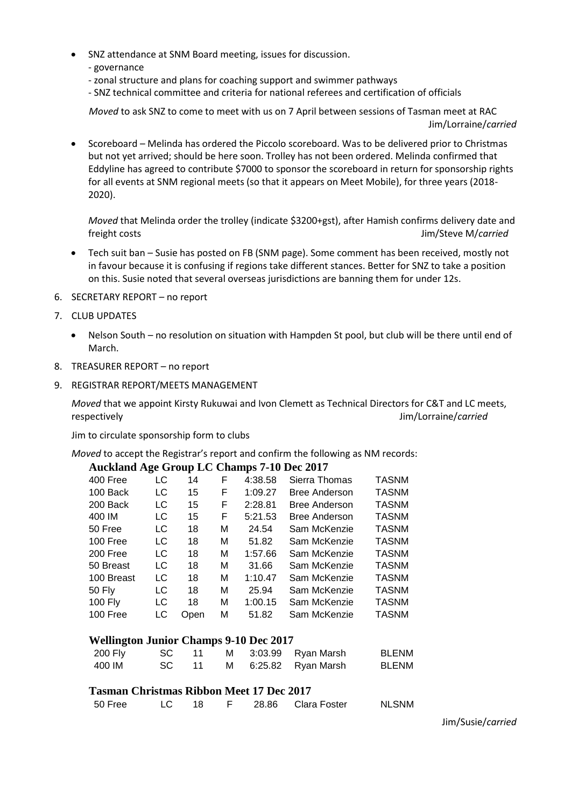- SNZ attendance at SNM Board meeting, issues for discussion.
	- governance
	- zonal structure and plans for coaching support and swimmer pathways
	- SNZ technical committee and criteria for national referees and certification of officials

*Moved* to ask SNZ to come to meet with us on 7 April between sessions of Tasman meet at RAC Jim/Lorraine/*carried*

 Scoreboard – Melinda has ordered the Piccolo scoreboard. Was to be delivered prior to Christmas but not yet arrived; should be here soon. Trolley has not been ordered. Melinda confirmed that Eddyline has agreed to contribute \$7000 to sponsor the scoreboard in return for sponsorship rights for all events at SNM regional meets (so that it appears on Meet Mobile), for three years (2018- 2020).

*Moved* that Melinda order the trolley (indicate \$3200+gst), after Hamish confirms delivery date and freight costs Jim/Steve M/*carried*

- Tech suit ban Susie has posted on FB (SNM page). Some comment has been received, mostly not in favour because it is confusing if regions take different stances. Better for SNZ to take a position on this. Susie noted that several overseas jurisdictions are banning them for under 12s.
- 6. SECRETARY REPORT no report
- 7. CLUB UPDATES
	- Nelson South no resolution on situation with Hampden St pool, but club will be there until end of March.
- 8. TREASURER REPORT no report
- 9. REGISTRAR REPORT/MEETS MANAGEMENT

*Moved* that we appoint Kirsty Rukuwai and Ivon Clemett as Technical Directors for C&T and LC meets, respectively Jim/Lorraine/*carried*

Jim to circulate sponsorship form to clubs

*Moved* to accept the Registrar's report and confirm the following as NM records:

## **Auckland Age Group LC Champs 7-10 Dec 2017**

| 400 Free       | LC  | 14   | F | 4:38.58 | Sierra Thomas        | <b>TASNM</b> |
|----------------|-----|------|---|---------|----------------------|--------------|
| 100 Back       | LC  | 15   | F | 1:09.27 | <b>Bree Anderson</b> | <b>TASNM</b> |
| 200 Back       | LC  | 15   | F | 2:28.81 | <b>Bree Anderson</b> | <b>TASNM</b> |
| 400 IM         | LC  | 15   | F | 5:21.53 | <b>Bree Anderson</b> | <b>TASNM</b> |
| 50 Free        | LC  | 18   | М | 24.54   | Sam McKenzie         | <b>TASNM</b> |
| 100 Free       | LC  | 18   | М | 51.82   | Sam McKenzie         | <b>TASNM</b> |
| 200 Free       | LC. | 18   | М | 1:57.66 | Sam McKenzie         | <b>TASNM</b> |
| 50 Breast      | LC  | 18   | М | 31.66   | Sam McKenzie         | <b>TASNM</b> |
| 100 Breast     | LC  | 18   | М | 1:10.47 | Sam McKenzie         | <b>TASNM</b> |
| 50 Fly         | LC  | 18   | М | 25.94   | Sam McKenzie         | <b>TASNM</b> |
| <b>100 Fly</b> | LC  | 18   | М | 1:00.15 | Sam McKenzie         | <b>TASNM</b> |
| 100 Free       | LC  | Open | м | 51.82   | Sam McKenzie         | <b>TASNM</b> |
|                |     |      |   |         |                      |              |

#### **Wellington Junior Champs 9-10 Dec 2017**

| 200 Fly |  |  | SC 11 M 3:03.99 Ryan Marsh | <b>BLENM</b> |
|---------|--|--|----------------------------|--------------|
| 400 IM  |  |  | SC 11 M 6:25.82 Ryan Marsh | <b>BLENM</b> |

## **Tasman Christmas Ribbon Meet 17 Dec 2017**

| 50 Free |  |  | 28.86 Clara Foster | <b>NLSNM</b> |
|---------|--|--|--------------------|--------------|
|         |  |  |                    |              |

Jim/Susie/*carried*